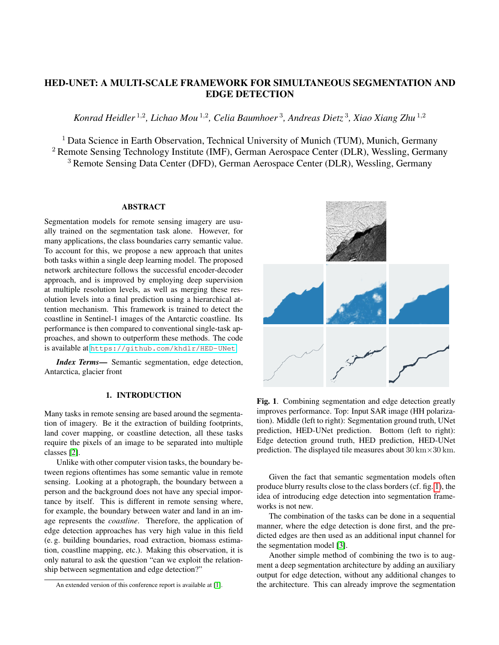# HED-UNET: A MULTI-SCALE FRAMEWORK FOR SIMULTANEOUS SEGMENTATION AND EDGE DETECTION

*Konrad Heidler* <sup>1</sup>,<sup>2</sup> *, Lichao Mou* <sup>1</sup>,<sup>2</sup> *, Celia Baumhoer* <sup>3</sup> *, Andreas Dietz* <sup>3</sup> *, Xiao Xiang Zhu* <sup>1</sup>,<sup>2</sup>

<sup>1</sup> Data Science in Earth Observation, Technical University of Munich (TUM), Munich, Germany <sup>2</sup> Remote Sensing Technology Institute (IMF), German Aerospace Center (DLR), Wessling, Germany <sup>3</sup> Remote Sensing Data Center (DFD), German Aerospace Center (DLR), Wessling, Germany

# ABSTRACT

Segmentation models for remote sensing imagery are usually trained on the segmentation task alone. However, for many applications, the class boundaries carry semantic value. To account for this, we propose a new approach that unites both tasks within a single deep learning model. The proposed network architecture follows the successful encoder-decoder approach, and is improved by employing deep supervision at multiple resolution levels, as well as merging these resolution levels into a final prediction using a hierarchical attention mechanism. This framework is trained to detect the coastline in Sentinel-1 images of the Antarctic coastline. Its performance is then compared to conventional single-task approaches, and shown to outperform these methods. The code is available at <https://github.com/khdlr/HED-UNet>.

*Index Terms*— Semantic segmentation, edge detection, Antarctica, glacier front

# 1. INTRODUCTION

Many tasks in remote sensing are based around the segmentation of imagery. Be it the extraction of building footprints, land cover mapping, or coastline detection, all these tasks require the pixels of an image to be separated into multiple classes [\[2\]](#page-3-0).

Unlike with other computer vision tasks, the boundary between regions oftentimes has some semantic value in remote sensing. Looking at a photograph, the boundary between a person and the background does not have any special importance by itself. This is different in remote sensing where, for example, the boundary between water and land in an image represents the *coastline*. Therefore, the application of edge detection approaches has very high value in this field (e. g. building boundaries, road extraction, biomass estimation, coastline mapping, etc.). Making this observation, it is only natural to ask the question "can we exploit the relationship between segmentation and edge detection?"



<span id="page-0-0"></span>Fig. 1. Combining segmentation and edge detection greatly improves performance. Top: Input SAR image (HH polarization). Middle (left to right): Segmentation ground truth, UNet prediction, HED-UNet prediction. Bottom (left to right): Edge detection ground truth, HED prediction, HED-UNet prediction. The displayed tile measures about  $30 \text{ km} \times 30 \text{ km}$ .

Given the fact that semantic segmentation models often produce blurry results close to the class borders (cf. fig. [1\)](#page-0-0), the idea of introducing edge detection into segmentation frameworks is not new.

The combination of the tasks can be done in a sequential manner, where the edge detection is done first, and the predicted edges are then used as an additional input channel for the segmentation model [\[3\]](#page-3-2).

Another simple method of combining the two is to augment a deep segmentation architecture by adding an auxiliary output for edge detection, without any additional changes to the architecture. This can already improve the segmentation

An extended version of this conference report is available at [\[1\]](#page-3-1).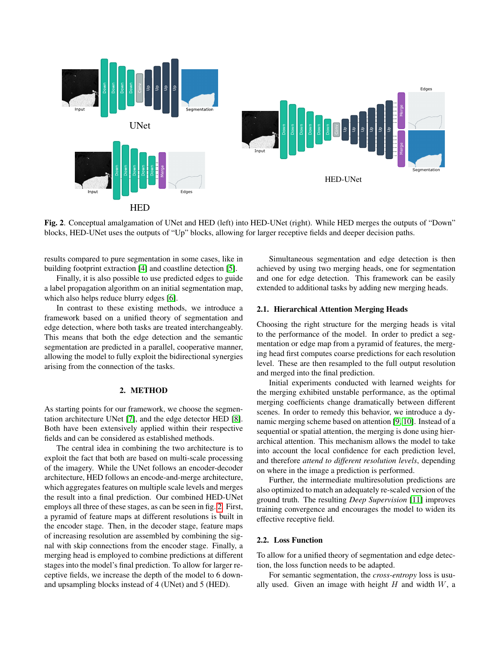

<span id="page-1-0"></span>Fig. 2. Conceptual amalgamation of UNet and HED (left) into HED-UNet (right). While HED merges the outputs of "Down" blocks, HED-UNet uses the outputs of "Up" blocks, allowing for larger receptive fields and deeper decision paths.

results compared to pure segmentation in some cases, like in building footprint extraction [\[4\]](#page-3-3) and coastline detection [\[5\]](#page-3-4).

Finally, it is also possible to use predicted edges to guide a label propagation algorithm on an initial segmentation map, which also helps reduce blurry edges [\[6\]](#page-3-5).

In contrast to these existing methods, we introduce a framework based on a unified theory of segmentation and edge detection, where both tasks are treated interchangeably. This means that both the edge detection and the semantic segmentation are predicted in a parallel, cooperative manner, allowing the model to fully exploit the bidirectional synergies arising from the connection of the tasks.

# 2. METHOD

As starting points for our framework, we choose the segmentation architecture UNet [\[7\]](#page-3-6), and the edge detector HED [\[8\]](#page-3-7). Both have been extensively applied within their respective fields and can be considered as established methods.

The central idea in combining the two architecture is to exploit the fact that both are based on multi-scale processing of the imagery. While the UNet follows an encoder-decoder architecture, HED follows an encode-and-merge architecture, which aggregates features on multiple scale levels and merges the result into a final prediction. Our combined HED-UNet employs all three of these stages, as can be seen in fig. [2.](#page-1-0) First, a pyramid of feature maps at different resolutions is built in the encoder stage. Then, in the decoder stage, feature maps of increasing resolution are assembled by combining the signal with skip connections from the encoder stage. Finally, a merging head is employed to combine predictions at different stages into the model's final prediction. To allow for larger receptive fields, we increase the depth of the model to 6 downand upsampling blocks instead of 4 (UNet) and 5 (HED).

Simultaneous segmentation and edge detection is then achieved by using two merging heads, one for segmentation and one for edge detection. This framework can be easily extended to additional tasks by adding new merging heads.

#### 2.1. Hierarchical Attention Merging Heads

Choosing the right structure for the merging heads is vital to the performance of the model. In order to predict a segmentation or edge map from a pyramid of features, the merging head first computes coarse predictions for each resolution level. These are then resampled to the full output resolution and merged into the final prediction.

Initial experiments conducted with learned weights for the merging exhibited unstable performance, as the optimal merging coefficients change dramatically between different scenes. In order to remedy this behavior, we introduce a dynamic merging scheme based on attention [\[9,](#page-3-8) [10\]](#page-3-9). Instead of a sequential or spatial attention, the merging is done using hierarchical attention. This mechanism allows the model to take into account the local confidence for each prediction level, and therefore *attend to different resolution levels*, depending on where in the image a prediction is performed.

Further, the intermediate multiresolution predictions are also optimized to match an adequately re-scaled version of the ground truth. The resulting *Deep Supervision* [\[11\]](#page-3-10) improves training convergence and encourages the model to widen its effective receptive field.

# 2.2. Loss Function

To allow for a unified theory of segmentation and edge detection, the loss function needs to be adapted.

For semantic segmentation, the *cross-entropy* loss is usually used. Given an image with height  $H$  and width  $W$ , a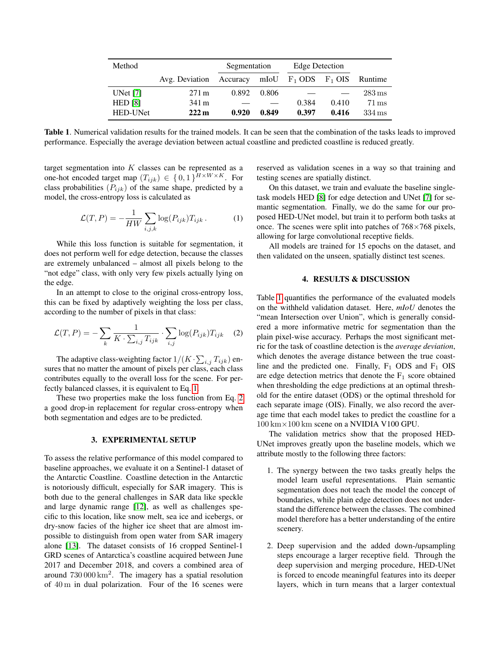| Method         |                 | Segmentation |       | Edge Detection           |       |                     |
|----------------|-----------------|--------------|-------|--------------------------|-------|---------------------|
|                | Avg. Deviation  | Accuracy     |       | mIoU $F_1$ ODS $F_1$ OIS |       | Runtime             |
| UNet $[7]$     | $271 \text{ m}$ | 0.892        | 0.806 |                          |       | $283 \,\mathrm{ms}$ |
| <b>HED</b> [8] | 341 m           |              |       | 0.384                    | 0.410 | $71 \,\mathrm{ms}$  |
| HED-UNet       | 222m            | 0.920        | 0.849 | 0.397                    | 0.416 | $334 \,\mathrm{ms}$ |

<span id="page-2-2"></span>Table 1. Numerical validation results for the trained models. It can be seen that the combination of the tasks leads to improved performance. Especially the average deviation between actual coastline and predicted coastline is reduced greatly.

target segmentation into  $K$  classes can be represented as a one-hot encoded target map  $(T_{ijk}) \in \{0,1\}^{H \times W \times K}$ . For class probabilities  $(P_{ijk})$  of the same shape, predicted by a model, the cross-entropy loss is calculated as

<span id="page-2-0"></span>
$$
\mathcal{L}(T, P) = -\frac{1}{HW} \sum_{i,j,k} \log(P_{ijk}) T_{ijk} . \tag{1}
$$

While this loss function is suitable for segmentation, it does not perform well for edge detection, because the classes are extremely unbalanced – almost all pixels belong to the "not edge" class, with only very few pixels actually lying on the edge.

In an attempt to close to the original cross-entropy loss, this can be fixed by adaptively weighting the loss per class, according to the number of pixels in that class:

<span id="page-2-1"></span>
$$
\mathcal{L}(T, P) = -\sum_{k} \frac{1}{K \cdot \sum_{i,j} T_{ijk}} \cdot \sum_{i,j} \log(P_{ijk}) T_{ijk} \quad (2)
$$

The adaptive class-weighting factor  $1/(K \cdot \sum_{i,j} T_{ijk})$  ensures that no matter the amount of pixels per class, each class contributes equally to the overall loss for the scene. For perfectly balanced classes, it is equivalent to Eq. [1.](#page-2-0)

These two properties make the loss function from Eq. [2](#page-2-1) a good drop-in replacement for regular cross-entropy when both segmentation and edges are to be predicted.

#### 3. EXPERIMENTAL SETUP

To assess the relative performance of this model compared to baseline approaches, we evaluate it on a Sentinel-1 dataset of the Antarctic Coastline. Coastline detection in the Antarctic is notoriously difficult, especially for SAR imagery. This is both due to the general challenges in SAR data like speckle and large dynamic range [\[12\]](#page-3-11), as well as challenges specific to this location, like snow melt, sea ice and icebergs, or dry-snow facies of the higher ice sheet that are almost impossible to distinguish from open water from SAR imagery alone [\[13\]](#page-3-12). The dataset consists of 16 cropped Sentinel-1 GRD scenes of Antarctica's coastline acquired between June 2017 and December 2018, and covers a combined area of around  $730000 \text{ km}^2$ . The imagery has a spatial resolution of 40 m in dual polarization. Four of the 16 scenes were reserved as validation scenes in a way so that training and testing scenes are spatially distinct.

On this dataset, we train and evaluate the baseline singletask models HED [\[8\]](#page-3-7) for edge detection and UNet [\[7\]](#page-3-6) for semantic segmentation. Finally, we do the same for our proposed HED-UNet model, but train it to perform both tasks at once. The scenes were split into patches of  $768\times768$  pixels, allowing for large convolutional receptive fields.

All models are trained for 15 epochs on the dataset, and then validated on the unseen, spatially distinct test scenes.

#### 4. RESULTS & DISCUSSION

Table [1](#page-2-2) quantifies the performance of the evaluated models on the withheld validation dataset. Here, *mIoU* denotes the "mean Intersection over Union", which is generally considered a more informative metric for segmentation than the plain pixel-wise accuracy. Perhaps the most significant metric for the task of coastline detection is the *average deviation*, which denotes the average distance between the true coastline and the predicted one. Finally,  $F_1$  ODS and  $F_1$  OIS are edge detection metrics that denote the  $F_1$  score obtained when thresholding the edge predictions at an optimal threshold for the entire dataset (ODS) or the optimal threshold for each separate image (OIS). Finally, we also record the average time that each model takes to predict the coastline for a 100 km×100 km scene on a NVIDIA V100 GPU.

The validation metrics show that the proposed HED-UNet improves greatly upon the baseline models, which we attribute mostly to the following three factors:

- 1. The synergy between the two tasks greatly helps the model learn useful representations. Plain semantic segmentation does not teach the model the concept of boundaries, while plain edge detection does not understand the difference between the classes. The combined model therefore has a better understanding of the entire scenery.
- 2. Deep supervision and the added down-/upsampling steps encourage a larger receptive field. Through the deep supervision and merging procedure, HED-UNet is forced to encode meaningful features into its deeper layers, which in turn means that a larger contextual